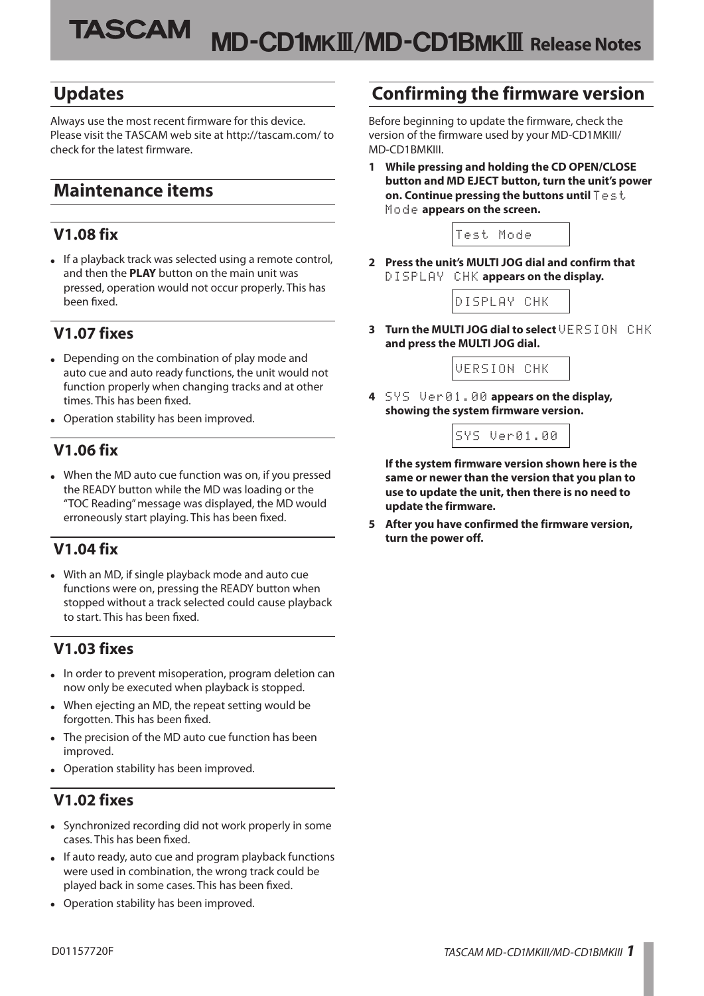## **Updates**

Always use the most recent firmware for this device. Please visit the TASCAM web site at http://tascam.com/ to check for the latest firmware.

# **Maintenance items**

### **V1.08 fix**

**•** If a playback track was selected using a remote control, and then the **PLAY** button on the main unit was pressed, operation would not occur properly. This has been fixed.

### **V1.07 fixes**

- **•** Depending on the combination of play mode and auto cue and auto ready functions, the unit would not function properly when changing tracks and at other times. This has been fixed.
- **•** Operation stability has been improved.

### **V1.06 fix**

**•** When the MD auto cue function was on, if you pressed the READY button while the MD was loading or the "TOC Reading" message was displayed, the MD would erroneously start playing. This has been fixed.

### **V1.04 fix**

**•** With an MD, if single playback mode and auto cue functions were on, pressing the READY button when stopped without a track selected could cause playback to start. This has been fixed.

### **V1.03 fixes**

- **•** In order to prevent misoperation, program deletion can now only be executed when playback is stopped.
- **•** When ejecting an MD, the repeat setting would be forgotten. This has been fixed.
- **•** The precision of the MD auto cue function has been improved.
- **•** Operation stability has been improved.

### **V1.02 fixes**

- **•** Synchronized recording did not work properly in some cases. This has been fixed.
- **•** If auto ready, auto cue and program playback functions were used in combination, the wrong track could be played back in some cases. This has been fixed.
- **•** Operation stability has been improved.

## **Confirming the firmware version**

Before beginning to update the firmware, check the version of the firmware used by your MD-CD1MKIII/ MD-CD1BMKIII.

**1 While pressing and holding the CD OPEN/CLOSE button and MD EJECT button, turn the unit's power on. Continue pressing the buttons until** Test Mode **appears on the screen.**



**2 Press the unit's MULTI JOG dial and confirm that**  DISPLAY CHK **appears on the display.**



**3 Turn the MULTI JOG dial to select** VERSION CHK **and press the MULTI JOG dial.**



**4** SYS Ver01.00 **appears on the display, showing the system firmware version.**



**If the system firmware version shown here is the same or newer than the version that you plan to use to update the unit, then there is no need to update the firmware.**

**5 After you have confirmed the firmware version, turn the power off.**